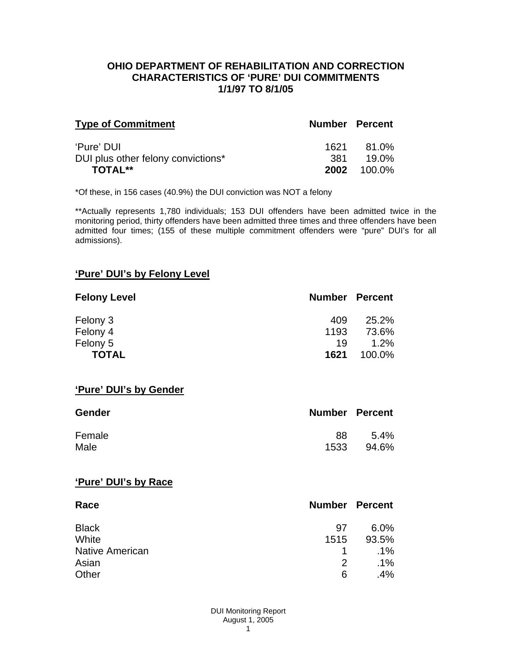### **OHIO DEPARTMENT OF REHABILITATION AND CORRECTION CHARACTERISTICS OF 'PURE' DUI COMMITMENTS 1/1/97 TO 8/1/05**

| <b>Type of Commitment</b>          | <b>Number Percent</b> |        |
|------------------------------------|-----------------------|--------|
| 'Pure' DUI                         | 1621                  | 81.0%  |
| DUI plus other felony convictions* | .381                  | 19.0%  |
| <b>TOTAL**</b>                     | 2002                  | 100.0% |

\*Of these, in 156 cases (40.9%) the DUI conviction was NOT a felony

\*\*Actually represents 1,780 individuals; 153 DUI offenders have been admitted twice in the monitoring period, thirty offenders have been admitted three times and three offenders have been admitted four times; (155 of these multiple commitment offenders were "pure" DUI's for all admissions).

# **'Pure' DUI's by Felony Level**

| <b>Felony Level</b> | <b>Number Percent</b> |         |
|---------------------|-----------------------|---------|
| Felony 3            | 409                   | 25.2%   |
| Felony 4            | 1193                  | 73.6%   |
| Felony 5            | 19                    | $1.2\%$ |
| <b>TOTAL</b>        | 1621                  | 100.0%  |

#### **'Pure' DUI's by Gender**

| Gender | <b>Number Percent</b> |         |
|--------|-----------------------|---------|
| Female | 88                    | $5.4\%$ |
| Male   | 1533                  | 94.6%   |

#### **'Pure' DUI's by Race**

| Race                   | <b>Number Percent</b> |        |
|------------------------|-----------------------|--------|
| <b>Black</b>           | .97                   | 6.0%   |
| White                  | 1515                  | 93.5%  |
| <b>Native American</b> |                       | $.1\%$ |
| Asian                  | 2                     | $.1\%$ |
| Other                  | 6                     | .4%    |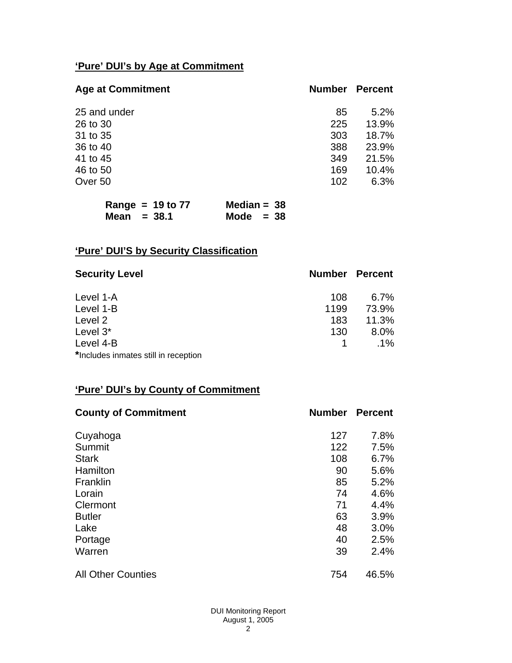# **'Pure' DUI's by Age at Commitment**

| <b>Age at Commitment</b> | <b>Number</b> | <b>Percent</b> |
|--------------------------|---------------|----------------|
| 25 and under             | 85            | 5.2%           |
| 26 to 30                 | 225           | 13.9%          |
| 31 to 35                 | 303           | 18.7%          |
| 36 to 40                 | 388           | 23.9%          |
| 41 to 45                 | 349           | 21.5%          |
| 46 to 50                 | 169           | 10.4%          |
| Over 50                  | 102           | 6.3%           |

| Range = $19$ to $77$ | Median = $38$ |
|----------------------|---------------|
| Mean $=$ 38.1        | Mode $= 38$   |

# **'Pure' DUI'S by Security Classification**

| <b>Security Level</b>                | <b>Number Percent</b> |         |
|--------------------------------------|-----------------------|---------|
| Level 1-A                            | 108                   | $6.7\%$ |
| Level 1-B                            | 1199                  | 73.9%   |
| Level 2                              | 183                   | 11.3%   |
| Level 3*                             | 130                   | 8.0%    |
| Level 4-B                            |                       | $.1\%$  |
| *Includes inmates still in reception |                       |         |

# **'Pure' DUI's by County of Commitment**

| <b>County of Commitment</b> | <b>Number</b> | <b>Percent</b> |
|-----------------------------|---------------|----------------|
| Cuyahoga                    | 127           | 7.8%           |
| Summit                      | 122           | 7.5%           |
| <b>Stark</b>                | 108           | 6.7%           |
| Hamilton                    | 90            | 5.6%           |
| Franklin                    | 85            | 5.2%           |
| Lorain                      | 74            | 4.6%           |
| Clermont                    | 71            | 4.4%           |
| <b>Butler</b>               | 63            | 3.9%           |
| Lake                        | 48            | 3.0%           |
| Portage                     | 40            | 2.5%           |
| Warren                      | 39            | 2.4%           |
| <b>All Other Counties</b>   | 754           | 46.5%          |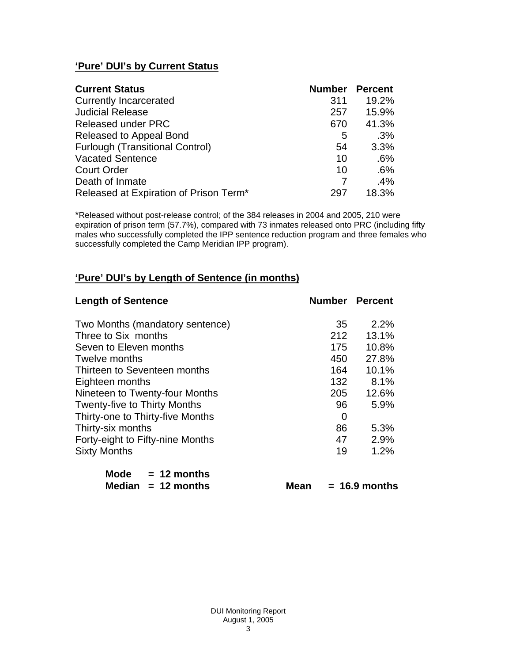# **'Pure' DUI's by Current Status**

| <b>Current Status</b>                  | <b>Number Percent</b> |       |
|----------------------------------------|-----------------------|-------|
| <b>Currently Incarcerated</b>          | 311                   | 19.2% |
| <b>Judicial Release</b>                | 257                   | 15.9% |
| <b>Released under PRC</b>              | 670                   | 41.3% |
| Released to Appeal Bond                | 5                     | .3%   |
| <b>Furlough (Transitional Control)</b> | 54                    | 3.3%  |
| <b>Vacated Sentence</b>                | 10                    | .6%   |
| <b>Court Order</b>                     | 10                    | .6%   |
| Death of Inmate                        |                       | .4%   |
| Released at Expiration of Prison Term* | 297                   | 18.3% |

\*Released without post-release control; of the 384 releases in 2004 and 2005, 210 were expiration of prison term (57.7%), compared with 73 inmates released onto PRC (including fifty males who successfully completed the IPP sentence reduction program and three females who successfully completed the Camp Meridian IPP program).

# **'Pure' DUI's by Length of Sentence (in months)**

| <b>Length of Sentence</b>           |                  | <b>Number Percent</b> |
|-------------------------------------|------------------|-----------------------|
| Two Months (mandatory sentence)     | 35               | 2.2%                  |
| Three to Six months                 | 212              | 13.1%                 |
| Seven to Eleven months              | 175              | 10.8%                 |
| Twelve months                       | 450              | 27.8%                 |
| Thirteen to Seventeen months        | 164              | 10.1%                 |
| Eighteen months                     | 132 <sub>2</sub> | 8.1%                  |
| Nineteen to Twenty-four Months      | 205              | 12.6%                 |
| <b>Twenty-five to Thirty Months</b> | 96               | 5.9%                  |
| Thirty-one to Thirty-five Months    | 0                |                       |
| Thirty-six months                   | 86               | 5.3%                  |
| Forty-eight to Fifty-nine Months    | 47               | 2.9%                  |
| <b>Sixty Months</b>                 | 19               | 1.2%                  |

| Mode | $= 12$ months        |
|------|----------------------|
|      | Median $= 12$ months |

**Mean = 16.9 months**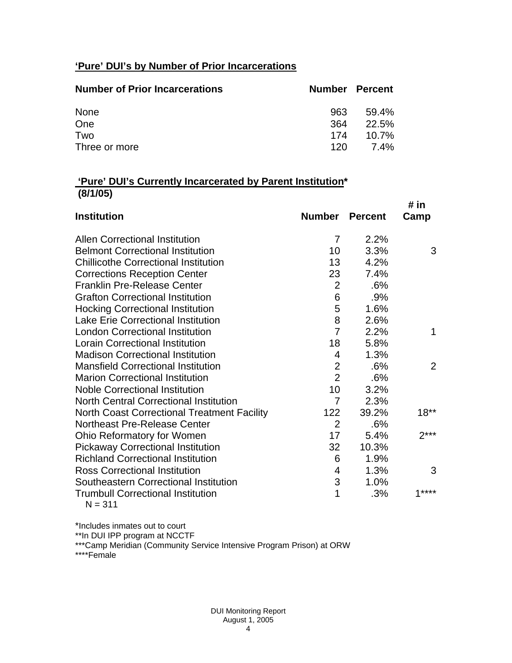# **'Pure' DUI's by Number of Prior Incarcerations**

| <b>Number of Prior Incarcerations</b> | <b>Number Percent</b> |          |
|---------------------------------------|-----------------------|----------|
| None                                  | 963                   | 59.4%    |
| One                                   | 364                   | 22.5%    |
| Two                                   | 174                   | $10.7\%$ |
| Three or more                         | 120.                  | 7.4%     |

### **'Pure' DUI's Currently Incarcerated by Parent Institution\* (8/1/05)**

|                                                    |                |                | # in   |
|----------------------------------------------------|----------------|----------------|--------|
| <b>Institution</b>                                 | <b>Number</b>  | <b>Percent</b> | Camp   |
| <b>Allen Correctional Institution</b>              | 7              | 2.2%           |        |
| <b>Belmont Correctional Institution</b>            | 10             | 3.3%           | 3      |
| <b>Chillicothe Correctional Institution</b>        | 13             | 4.2%           |        |
| <b>Corrections Reception Center</b>                | 23             | 7.4%           |        |
| <b>Franklin Pre-Release Center</b>                 | $\overline{2}$ | .6%            |        |
| <b>Grafton Correctional Institution</b>            | 6              | .9%            |        |
| <b>Hocking Correctional Institution</b>            | 5              | 1.6%           |        |
| <b>Lake Erie Correctional Institution</b>          | 8              | 2.6%           |        |
| <b>London Correctional Institution</b>             | $\overline{7}$ | 2.2%           | 1      |
| <b>Lorain Correctional Institution</b>             | 18             | 5.8%           |        |
| <b>Madison Correctional Institution</b>            | 4              | 1.3%           |        |
| <b>Mansfield Correctional Institution</b>          | $\overline{2}$ | .6%            | 2      |
| <b>Marion Correctional Institution</b>             | $\overline{2}$ | .6%            |        |
| <b>Noble Correctional Institution</b>              | 10             | 3.2%           |        |
| <b>North Central Correctional Institution</b>      | $\overline{7}$ | 2.3%           |        |
| <b>North Coast Correctional Treatment Facility</b> | 122            | 39.2%          | $18**$ |
| Northeast Pre-Release Center                       | $\overline{2}$ | .6%            |        |
| <b>Ohio Reformatory for Women</b>                  | 17             | 5.4%           | $2***$ |
| <b>Pickaway Correctional Institution</b>           | 32             | 10.3%          |        |
| <b>Richland Correctional Institution</b>           | 6              | 1.9%           |        |
| <b>Ross Correctional Institution</b>               | 4              | 1.3%           | 3      |
| Southeastern Correctional Institution              | 3              | 1.0%           |        |
| <b>Trumbull Correctional Institution</b>           | 1              | .3%            | $1***$ |
| $N = 311$                                          |                |                |        |

\*Includes inmates out to court

\*\*In DUI IPP program at NCCTF

\*\*\*Camp Meridian (Community Service Intensive Program Prison) at ORW

\*\*\*\*Female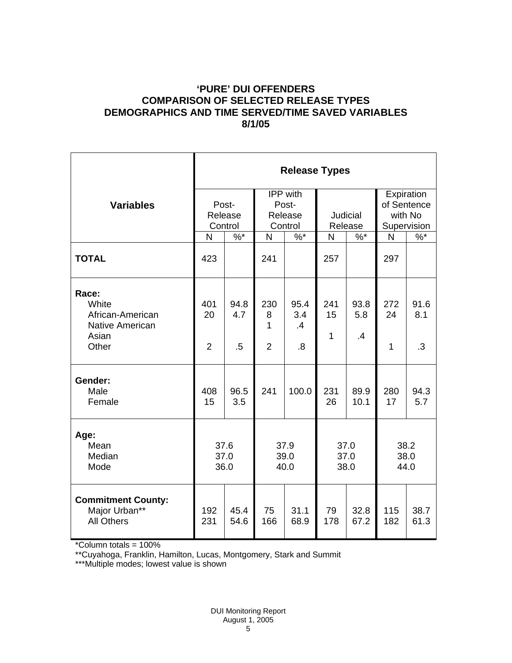## **'PURE' DUI OFFENDERS COMPARISON OF SELECTED RELEASE TYPES DEMOGRAPHICS AND TIME SERVED/TIME SAVED VARIABLES 8/1/05**

|                                                                                | <b>Release Types</b>        |                       |                                 |                                     |                      |                                |                                      |                   |
|--------------------------------------------------------------------------------|-----------------------------|-----------------------|---------------------------------|-------------------------------------|----------------------|--------------------------------|--------------------------------------|-------------------|
| <b>Variables</b>                                                               | Post-<br>Release            |                       | IPP with<br>Post-<br>Release    |                                     | <b>Judicial</b>      |                                | Expiration<br>of Sentence<br>with No |                   |
|                                                                                | Control                     |                       | Control                         |                                     | Release              |                                | Supervision                          |                   |
|                                                                                | N                           | $%$ *                 | N                               | $\%$ *                              | N                    | $%^*$                          | N                                    | $%^*$             |
| <b>TOTAL</b>                                                                   | 423                         |                       | 241                             |                                     | 257                  |                                | 297                                  |                   |
| Race:<br>White<br>African-American<br><b>Native American</b><br>Asian<br>Other | 401<br>20<br>$\overline{2}$ | 94.8<br>4.7<br>$.5\,$ | 230<br>8<br>1<br>$\overline{2}$ | 95.4<br>3.4<br>$\mathcal{A}$<br>8.5 | 241<br>15<br>1       | 93.8<br>5.8<br>$\overline{.4}$ | 272<br>24<br>$\mathbf{1}$            | 91.6<br>8.1<br>.3 |
| Gender:<br>Male<br>Female                                                      | 408<br>15                   | 96.5<br>3.5           | 241                             | 100.0                               | 231<br>26            | 89.9<br>10.1                   | 280<br>17                            | 94.3<br>5.7       |
| Age:<br>Mean<br>Median<br>Mode                                                 | 37.6<br>37.0<br>36.0        |                       | 37.9<br>39.0<br>40.0            |                                     | 37.0<br>37.0<br>38.0 |                                | 38.2<br>38.0<br>44.0                 |                   |
| <b>Commitment County:</b><br>Major Urban**<br><b>All Others</b>                | 192<br>231                  | 45.4<br>54.6          | 75<br>166                       | 31.1<br>68.9                        | 79<br>178            | 32.8<br>67.2                   | 115<br>182                           | 38.7<br>61.3      |

\*Column totals = 100%

\*\*Cuyahoga, Franklin, Hamilton, Lucas, Montgomery, Stark and Summit

\*\*\*Multiple modes; lowest value is shown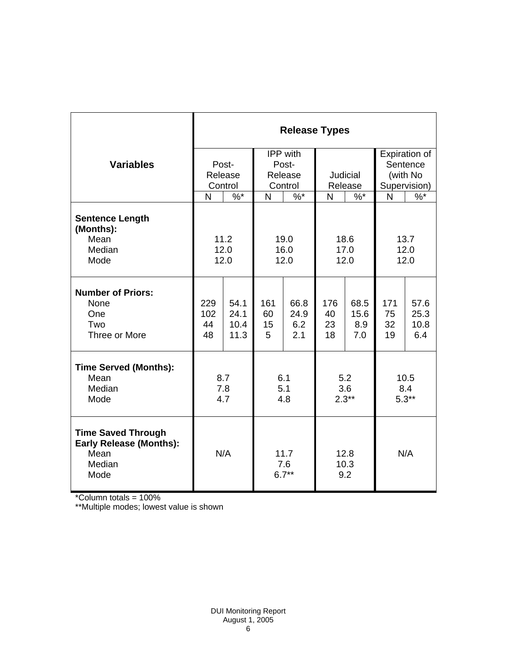|                                                                                       | <b>Release Types</b> |            |                        |         |                     |                   |              |                      |
|---------------------------------------------------------------------------------------|----------------------|------------|------------------------|---------|---------------------|-------------------|--------------|----------------------|
|                                                                                       |                      |            | IPP with               |         |                     |                   |              | <b>Expiration of</b> |
| <b>Variables</b>                                                                      | Post-                |            | Post-                  |         |                     |                   |              | Sentence             |
|                                                                                       | Release              |            | Release                |         | <b>Judicial</b>     |                   | (with No     |                      |
|                                                                                       | Control              |            | Control                |         | Release             |                   | Supervision) |                      |
|                                                                                       | N                    | $%$ *      | N                      | $%$ *   | N                   | $\%$ <sup>*</sup> | N            | $%^*$                |
| <b>Sentence Length</b><br>(Months):<br>Mean                                           |                      | 11.2       |                        | 19.0    | 18.6                |                   | 13.7         |                      |
| Median                                                                                | 12.0                 |            | 16.0                   |         | 17.0                |                   | 12.0         |                      |
| Mode                                                                                  | 12.0                 |            | 12.0                   |         | 12.0                |                   | 12.0         |                      |
| <b>Number of Priors:</b><br>None                                                      | 229                  | 54.1       | 161                    | 66.8    | 176                 | 68.5              | 171          | 57.6                 |
| One                                                                                   | 102                  | 24.1       | 60                     | 24.9    | 40                  | 15.6              | 75           | 25.3                 |
| Two                                                                                   | 44                   | 10.4       | 15                     | 6.2     | 23                  | 8.9               | 32           | 10.8                 |
| Three or More                                                                         | 48                   | 11.3       | 5                      | 2.1     | 18                  | 7.0               | 19           | 6.4                  |
| <b>Time Served (Months):</b>                                                          |                      |            |                        |         |                     |                   |              |                      |
| Mean                                                                                  | 8.7                  |            | 6.1                    |         | 5.2                 |                   | 10.5         |                      |
| Median                                                                                | 7.8                  |            | 5.1                    |         | 3.6                 |                   | 8.4          |                      |
| Mode                                                                                  |                      | 4.7<br>4.8 |                        | $2.3**$ |                     | $5.3**$           |              |                      |
| <b>Time Saved Through</b><br><b>Early Release (Months):</b><br>Mean<br>Median<br>Mode | N/A                  |            | 11.7<br>7.6<br>$6.7**$ |         | 12.8<br>10.3<br>9.2 |                   | N/A          |                      |

\*Column totals = 100%

\*\*Multiple modes; lowest value is shown